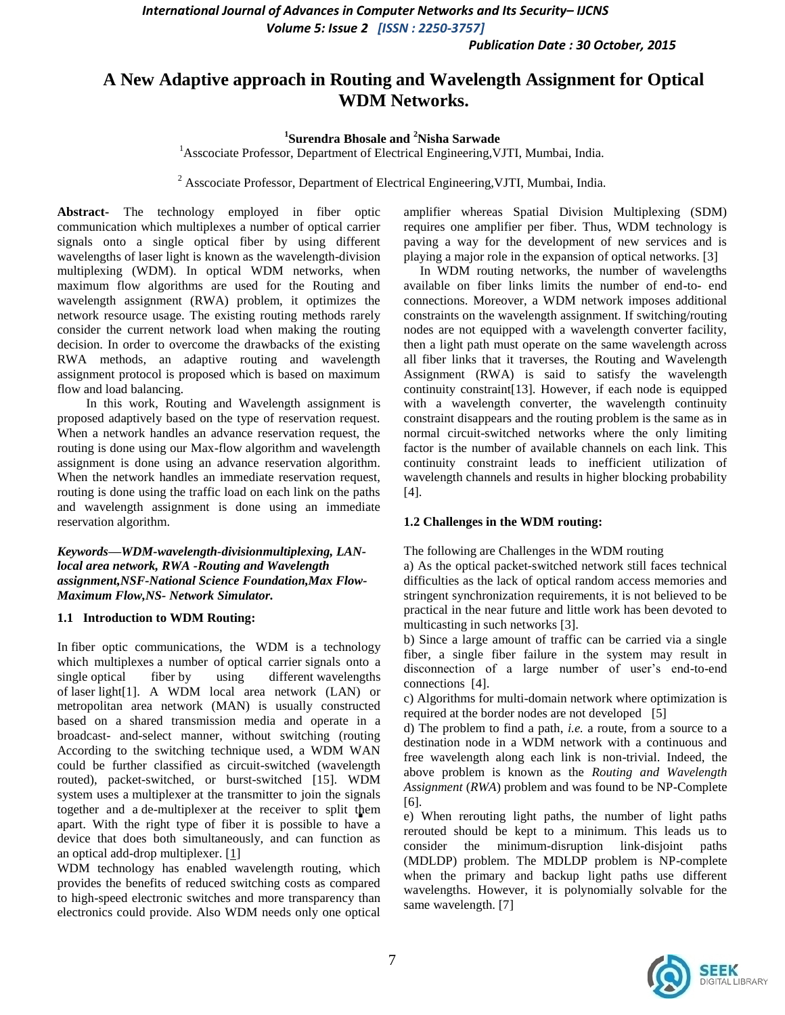*Publication Date : 30 October, 2015*

# **A New Adaptive approach in Routing and Wavelength Assignment for Optical WDM Networks.**

### **1 Surendra Bhosale and <sup>2</sup>Nisha Sarwade**

<sup>1</sup>Asscociate Professor, Department of Electrical Engineering, VJTI, Mumbai, India.

<sup>2</sup> Asscociate Professor, Department of Electrical Engineering, VJTI, Mumbai, India.

**Abstract-** The technology employed in fiber optic communication which multiplexes a number of optical carrier signals onto a single optical fiber by using different wavelengths of laser light is known as the wavelength-division multiplexing (WDM). In optical WDM networks, when maximum flow algorithms are used for the Routing and wavelength assignment (RWA) problem, it optimizes the network resource usage. The existing routing methods rarely consider the current network load when making the routing decision. In order to overcome the drawbacks of the existing RWA methods, an adaptive routing and wavelength assignment protocol is proposed which is based on maximum flow and load balancing.

 In this work, Routing and Wavelength assignment is proposed adaptively based on the type of reservation request. When a network handles an advance reservation request, the routing is done using our Max-flow algorithm and wavelength assignment is done using an advance reservation algorithm. When the network handles an immediate reservation request, routing is done using the traffic load on each link on the paths and wavelength assignment is done using an immediate reservation algorithm.

*Keywords—WDM-wavelength-divisionmultiplexing, LANlocal area network, RWA -Routing and Wavelength assignment,NSF-National Science Foundation,Max Flow-Maximum Flow,NS- Network Simulator.*

#### **1.1 Introduction to WDM Routing:**

In fiber optic communications, the WDM is a technology which multiplexes a number of optical carrier signals onto a single optical fiber by using different wavelengths of laser light[1]. A WDM local area network (LAN) or metropolitan area network (MAN) is usually constructed based on a shared transmission media and operate in a broadcast- and-select manner, without switching (routing According to the switching technique used, a WDM WAN could be further classified as circuit-switched (wavelength routed), packet-switched, or burst-switched [15]. WDM system uses a multiplexer at the transmitter to join the signals together and a de-multiplexer at the receiver to split them apart. With the right type of fiber it is possible to have a device that does both simultaneously, and can function as an optical add-drop multiplexer.  $[1]$ 

WDM technology has enabled wavelength routing, which provides the benefits of reduced switching costs as compared to high-speed electronic switches and more transparency than electronics could provide. Also WDM needs only one optical

amplifier whereas Spatial Division Multiplexing (SDM) requires one amplifier per fiber. Thus, WDM technology is paving a way for the development of new services and is playing a major role in the expansion of optical networks. [3]

 In WDM routing networks, the number of wavelengths available on fiber links limits the number of end-to- end connections. Moreover, a WDM network imposes additional constraints on the wavelength assignment. If switching/routing nodes are not equipped with a wavelength converter facility, then a light path must operate on the same wavelength across all fiber links that it traverses, the Routing and Wavelength Assignment (RWA) is said to satisfy the wavelength continuity constraint[13]. However, if each node is equipped with a wavelength converter, the wavelength continuity constraint disappears and the routing problem is the same as in normal circuit-switched networks where the only limiting factor is the number of available channels on each link. This continuity constraint leads to inefficient utilization of wavelength channels and results in higher blocking probability [4].

#### **1.2 Challenges in the WDM routing:**

The following are Challenges in the WDM routing

a) As the optical packet-switched network still faces technical difficulties as the lack of optical random access memories and stringent synchronization requirements, it is not believed to be practical in the near future and little work has been devoted to multicasting in such networks [3].

b) Since a large amount of traffic can be carried via a single fiber, a single fiber failure in the system may result in disconnection of a large number of user's end-to-end connections [4].

c) Algorithms for multi-domain network where optimization is required at the border nodes are not developed [5]

d) The problem to find a path, *i.e.* a route, from a source to a destination node in a WDM network with a continuous and free wavelength along each link is non-trivial. Indeed, the above problem is known as the *Routing and Wavelength Assignment* (*RWA*) problem and was found to be NP-Complete [6].

 e) When rerouting light paths, the number of light paths rerouted should be kept to a minimum. This leads us to consider the minimum-disruption link-disjoint paths (MDLDP) problem. The MDLDP problem is NP-complete when the primary and backup light paths use different wavelengths. However, it is polynomially solvable for the same wavelength. [7]

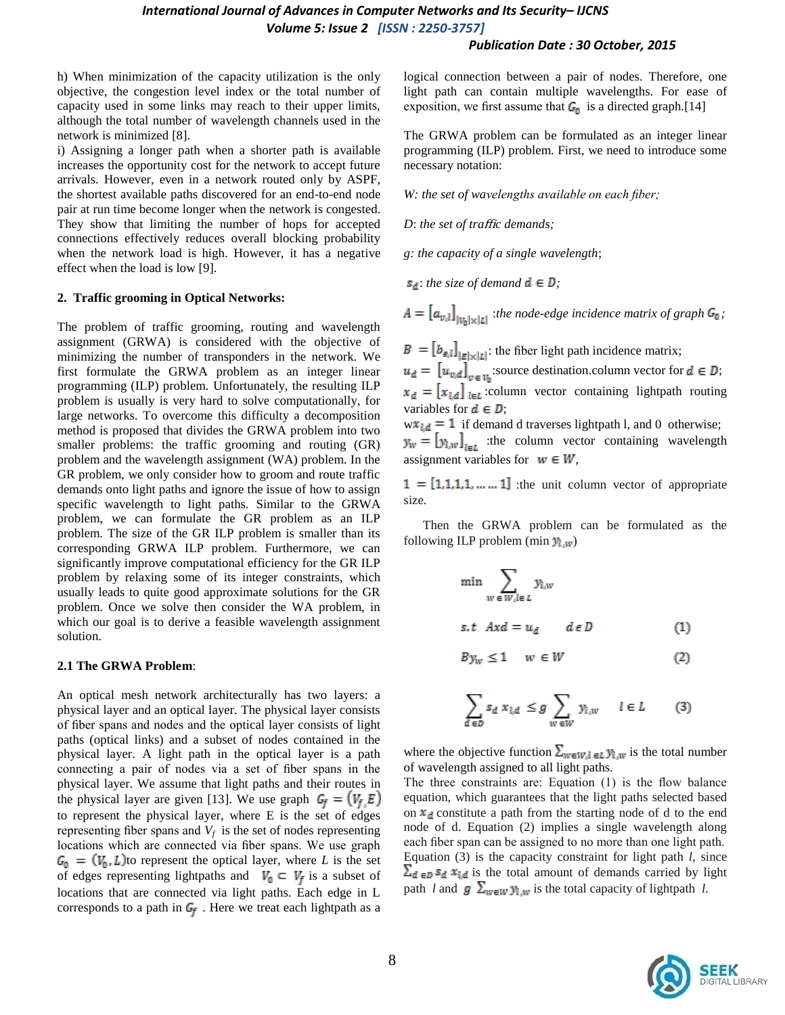#### *Publication Date : 30 October, 2015*

h) When minimization of the capacity utilization is the only objective, the congestion level index or the total number of capacity used in some links may reach to their upper limits, although the total number of wavelength channels used in the network is minimized [8].

i) Assigning a longer path when a shorter path is available increases the opportunity cost for the network to accept future arrivals. However, even in a network routed only by ASPF, the shortest available paths discovered for an end-to-end node pair at run time become longer when the network is congested. They show that limiting the number of hops for accepted connections effectively reduces overall blocking probability when the network load is high. However, it has a negative effect when the load is low [9].

#### **2. Traffic grooming in Optical Networks:**

The problem of traffic grooming, routing and wavelength assignment (GRWA) is considered with the objective of minimizing the number of transponders in the network. We first formulate the GRWA problem as an integer linear programming (ILP) problem. Unfortunately, the resulting ILP problem is usually is very hard to solve computationally, for large networks. To overcome this difficulty a decomposition method is proposed that divides the GRWA problem into two smaller problems: the traffic grooming and routing (GR) problem and the wavelength assignment (WA) problem. In the GR problem, we only consider how to groom and route traffic demands onto light paths and ignore the issue of how to assign specific wavelength to light paths. Similar to the GRWA problem, we can formulate the GR problem as an ILP problem. The size of the GR ILP problem is smaller than its corresponding GRWA ILP problem. Furthermore, we can significantly improve computational efficiency for the GR ILP problem by relaxing some of its integer constraints, which usually leads to quite good approximate solutions for the GR problem. Once we solve then consider the WA problem, in which our goal is to derive a feasible wavelength assignment solution.

#### **2.1 The GRWA Problem**:

An optical mesh network architecturally has two layers: a physical layer and an optical layer. The physical layer consists of fiber spans and nodes and the optical layer consists of light paths (optical links) and a subset of nodes contained in the physical layer. A light path in the optical layer is a path connecting a pair of nodes via a set of fiber spans in the physical layer. We assume that light paths and their routes in the physical layer are given [13]. We use graph  $G_f = (V_f, E)$ to represent the physical layer, where E is the set of edges representing fiber spans and  $V_f$  is the set of nodes representing locations which are connected via fiber spans. We use graph  $G_0 = (V_0, L)$  to represent the optical layer, where *L* is the set of edges representing lightpaths and  $V_0 \subset V_f$  is a subset of locations that are connected via light paths. Each edge in L corresponds to a path in  $G_f$ . Here we treat each lightpath as a

logical connection between a pair of nodes. Therefore, one light path can contain multiple wavelengths. For ease of exposition, we first assume that  $G_0$  is a directed graph.[14]

The GRWA problem can be formulated as an integer linear programming (ILP) problem. First, we need to introduce some necessary notation:

*W: the set of wavelengths available on each fiber;*

*D*: *the set of tra*ffi*c demands;* 

*g: the capacity of a single wavelength*;

 $s_d$ : *the size of demand*  $d \in D$ ;

 $A = [a_{v,l}]_{|v_n| \times |L|}$ :*the node-edge incidence matrix of graph*  $G_0$ ;

 $B = [b_{e,l}]_{|E| \times |L|}$ : the fiber light path incidence matrix;

 $u_d = [u_{v,d}]_{v \in V_0}$ :source destination.column vector for  $d \in D$ ;  $x_d = [x_{l,d}]_{l \in L}$ :column vector containing lightpath routing variables for  $\mathbf{d} \in \mathbf{D}$ ;

 $w x_{1d} = 1$  if demand d traverses lightpath l, and 0 otherwise;  $y_w = [y_{l,w}]_{l \in L}$  :the column vector containing wavelength assignment variables for  $w \in W$ ,

 $1 = [1,1,1,1,...,1]$  :the unit column vector of appropriate size.

Then the GRWA problem can be formulated as the following ILP problem (min  $y_{l,w}$ )

$$
\min_{w \in W, l \in L} \sum_{y_{l,w}} y_{l,w}
$$
  
s.t  $Axd = u_d$   $d \in D$  (1)

$$
By_w \le 1 \quad w \in W \tag{2}
$$

$$
\sum_{d \in D} s_d \; x_{l,d} \; \leq g \sum_{w \in W} y_{l,w} \quad l \in L \tag{3}
$$

where the objective function  $\sum_{w \in W, l \in L} y_{l,w}$  is the total number of wavelength assigned to all light paths.

The three constraints are: Equation (1) is the flow balance equation, which guarantees that the light paths selected based on  $x_d$  constitute a path from the starting node of d to the end node of d. Equation (2) implies a single wavelength along each fiber span can be assigned to no more than one light path. Equation (3) is the capacity constraint for light path *l*, since  $\sum_{d \in D} s_d x_{l,d}$  is the total amount of demands carried by light path *l* and  $g \sum_{w \in W} y_{l,w}$  is the total capacity of lightpath *l*.

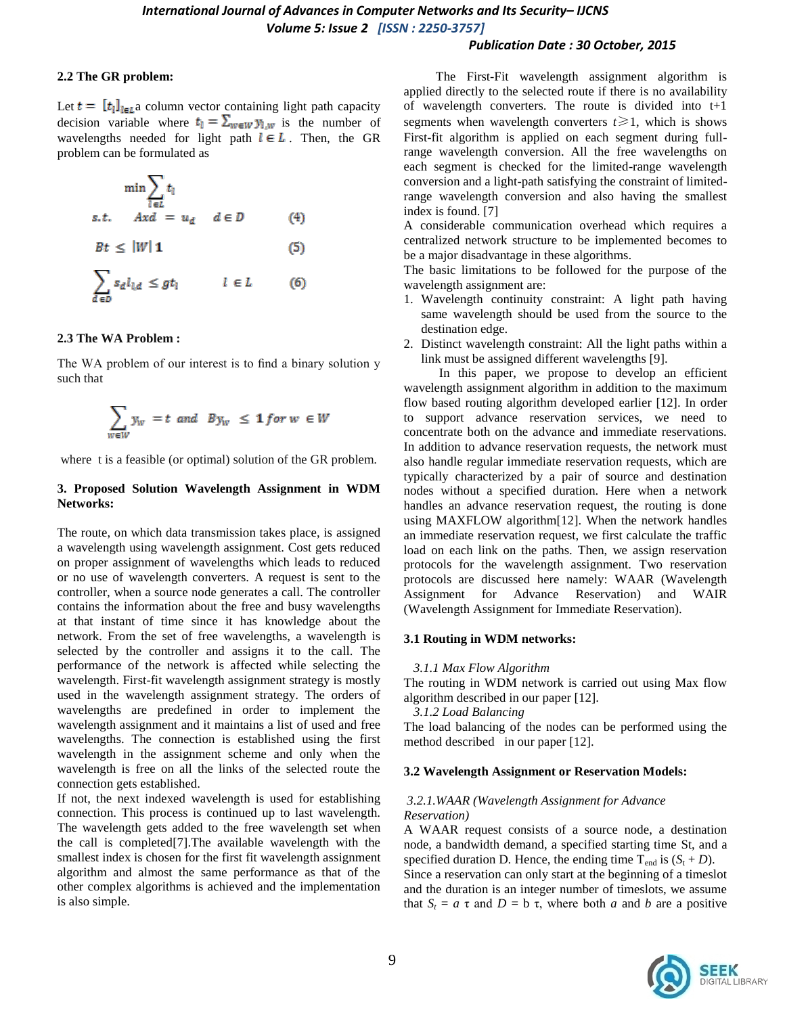#### *Publication Date : 30 October, 2015*

#### **2.2 The GR problem:**

Let  $t = [t_i]_{i \in \mathbb{Z}}$  column vector containing light path capacity decision variable where  $t_1 = \sum_{w \in W} y_{l,w}$  is the number of wavelengths needed for light path  $l \in L$ . Then, the GR problem can be formulated as

$$
\min \sum_{l \in L} t_l
$$
\ns.t.  $Axd = u_d$   $d \in D$  (4)  
\n
$$
Bt \le |W| \mathbf{1}
$$
 (5)  
\n
$$
\sum_{d \in D} s_d l_{l,d} \le gt_l
$$
  $l \in L$  (6)

#### **2.3 The WA Problem :**

The WA problem of our interest is to find a binary solution y such that

$$
\sum_{w \in W} y_w = t \text{ and } By_w \leq 1 \text{ for } w \in W
$$

where t is a feasible (or optimal) solution of the GR problem.

### **3. Proposed Solution Wavelength Assignment in WDM Networks:**

The route, on which data transmission takes place, is assigned a wavelength using wavelength assignment. Cost gets reduced on proper assignment of wavelengths which leads to reduced or no use of wavelength converters. A request is sent to the controller, when a source node generates a call. The controller contains the information about the free and busy wavelengths at that instant of time since it has knowledge about the network. From the set of free wavelengths, a wavelength is selected by the controller and assigns it to the call. The performance of the network is affected while selecting the wavelength. First-fit wavelength assignment strategy is mostly used in the wavelength assignment strategy. The orders of wavelengths are predefined in order to implement the wavelength assignment and it maintains a list of used and free wavelengths. The connection is established using the first wavelength in the assignment scheme and only when the wavelength is free on all the links of the selected route the connection gets established.

If not, the next indexed wavelength is used for establishing connection. This process is continued up to last wavelength. The wavelength gets added to the free wavelength set when the call is completed[7].The available wavelength with the smallest index is chosen for the first fit wavelength assignment algorithm and almost the same performance as that of the other complex algorithms is achieved and the implementation is also simple.

 The First-Fit wavelength assignment algorithm is applied directly to the selected route if there is no availability of wavelength converters. The route is divided into t+1 segments when wavelength converters  $t \ge 1$ , which is shows First-fit algorithm is applied on each segment during fullrange wavelength conversion. All the free wavelengths on each segment is checked for the limited-range wavelength conversion and a light-path satisfying the constraint of limitedrange wavelength conversion and also having the smallest index is found. [7]

A considerable communication overhead which requires a centralized network structure to be implemented becomes to be a major disadvantage in these algorithms.

The basic limitations to be followed for the purpose of the wavelength assignment are:

- 1. Wavelength continuity constraint: A light path having same wavelength should be used from the source to the destination edge.
- 2. Distinct wavelength constraint: All the light paths within a link must be assigned different wavelengths [9].

In this paper, we propose to develop an efficient wavelength assignment algorithm in addition to the maximum flow based routing algorithm developed earlier [12]. In order to support advance reservation services, we need to concentrate both on the advance and immediate reservations. In addition to advance reservation requests, the network must also handle regular immediate reservation requests, which are typically characterized by a pair of source and destination nodes without a specified duration. Here when a network handles an advance reservation request, the routing is done using MAXFLOW algorithm[12]. When the network handles an immediate reservation request, we first calculate the traffic load on each link on the paths. Then, we assign reservation protocols for the wavelength assignment. Two reservation protocols are discussed here namely: WAAR (Wavelength Assignment for Advance Reservation) and WAIR (Wavelength Assignment for Immediate Reservation).

### **3.1 Routing in WDM networks:**

#### *3.1.1 Max Flow Algorithm*

The routing in WDM network is carried out using Max flow algorithm described in our paper [12].

*3.1.2 Load Balancing*

The load balancing of the nodes can be performed using the method described in our paper [12].

### **3.2 Wavelength Assignment or Reservation Models:**

#### *3.2.1.WAAR (Wavelength Assignment for Advance Reservation)*

A WAAR request consists of a source node, a destination node, a bandwidth demand, a specified starting time St, and a specified duration D. Hence, the ending time  $T_{end}$  is  $(S_t + D)$ . Since a reservation can only start at the beginning of a timeslot and the duration is an integer number of timeslots, we assume that  $S_t = a \tau$  and  $D = b \tau$ , where both *a* and *b* are a positive

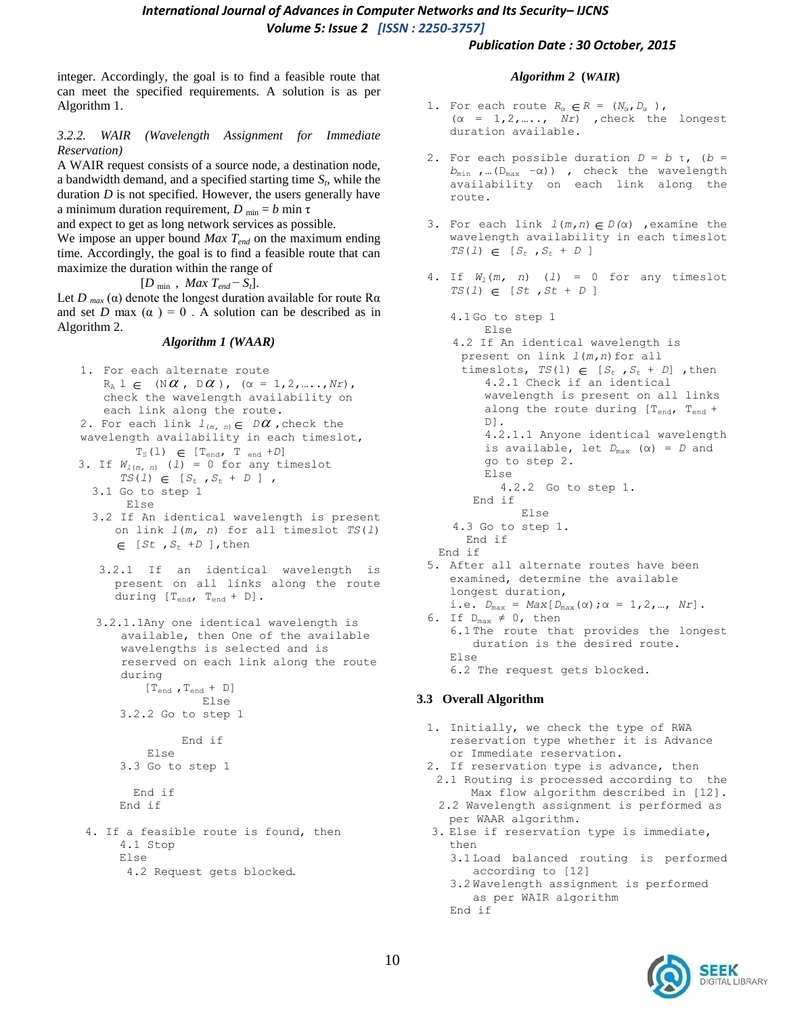#### *Publication Date : 30 October, 2015*

integer. Accordingly, the goal is to find a feasible route that can meet the specified requirements. A solution is as per Algorithm 1.

### *3.2.2. WAIR (Wavelength Assignment for Immediate Reservation)*

A WAIR request consists of a source node, a destination node, a bandwidth demand, and a specified starting time *S<sup>t</sup>* , while the duration *D* is not specified. However, the users generally have a minimum duration requirement,  $D_{min} = b$  min  $\tau$ 

and expect to get as long network services as possible.

We impose an upper bound *Max Tend* on the maximum ending time. Accordingly, the goal is to find a feasible route that can maximize the duration within the range of

 $[D_{\min}, Max T_{end} - S_t].$ 

Let *D*  $_{max}$  ( $\alpha$ ) denote the longest duration available for route R $\alpha$ and set *D* max  $(\alpha) = 0$ . A solution can be described as in Algorithm 2.

#### *Algorithm 1 (WAAR)*

- 1. For each alternate route  $R_A \perp \in (\mathbb{N} \alpha, \mathbb{D} \alpha), (\alpha = 1, 2, ..., Nr),$ check the wavelength availability on each link along the route.
- 2. For each link  $l_{(m, n)} \in D\mathcal{U}$  , check the wavelength availability in each timeslot,  $T_S(1) \in [T_{end}$ ,  $T_{end} + D$
- 3. If  $W_{l(m, n)}$  (1) = 0 for any timeslot  $TS(1) \in [S_t, S_t + D]$ , 3.1 Go to step 1
	- Else 3.2 If An identical wavelength is present on link *l*(*m, n*) for all timeslot *TS*(*l*)  $\in$  [*St*,  $S_t$  +*D* ], then
	- 3.2.1 If an identical wavelength is present on all links along the route during [T<sub>end</sub>, T<sub>end</sub> + D].
	- 3.2.1.1Any one identical wavelength is available, then One of the available wavelengths is selected and is reserved on each link along the route during  $[\, \mathrm{T}_{\mathrm{end}}$  ,  $\mathrm{T}_{\mathrm{end}}$  +  $\,$  D  $]$ Else

3.2.2 Go to step 1

 End if Else 3.3 Go to step 1

```
 End if
End if
```
 4. If a feasible route is found, then 4.1 Stop Else 4.2 Request gets blocked.

#### *Algorithm 2* **(***WAIR***)**

- 1. For each route  $R_{\alpha} \in R = (N_{\alpha}, D_{\alpha})$ , (α = 1,2,….., *Nr*) ,check the longest duration available.
- 2. For each possible duration  $D = b$  τ, (b = *b*min ,…(Dmax −α)) , check the wavelength availability on each link along the route.
- 3. For each link *l*(*m,n*) *D(*α) ,examine the wavelength availability in each timeslot  $TS(1) \in [S_t, S_t + D]$
- 4. If *Wl*(*m, n*) (*l*) = 0 for any timeslot  $TS(1) \in [St, St + D]$ 
	- 4.1 Go to step 1 Else 4.2 If An identical wavelength is present on link *l*(*m,n*)for all timeslots,  $TS(1) \in [S_t, S_t + D]$ , then 4.2.1 Check if an identical wavelength is present on all links along the route during  $[T_{end}$ ,  $T_{end}$  + D]. 4.2.1.1 Anyone identical wavelength is available, let *D*max (α) = *D* and go to step 2. Else 4.2.2 Go to step 1. End if Else 4.3 Go to step 1. End if End if
- 5. After all alternate routes have been examined, determine the available longest duration, i.e.  $D_{\text{max}} = Max[D_{\text{max}}(\alpha); \alpha = 1, 2, ..., Nr]$ .
- 6. If  $D_{max} \neq 0$ , then 6.1 The route that provides the longest duration is the desired route. Else 6.2 The request gets blocked.

### **3.3 Overall Algorithm**

- 1. Initially, we check the type of RWA reservation type whether it is Advance or Immediate reservation.
- 2. If reservation type is advance, then
- 2.1 Routing is processed according to the Max flow algorithm described in [12].
- 2.2 Wavelength assignment is performed as per WAAR algorithm.
- 3. Else if reservation type is immediate, then
	- 3.1 Load balanced routing is performed according to [12]
	- 3.2 Wavelength assignment is performed as per WAIR algorithm End if

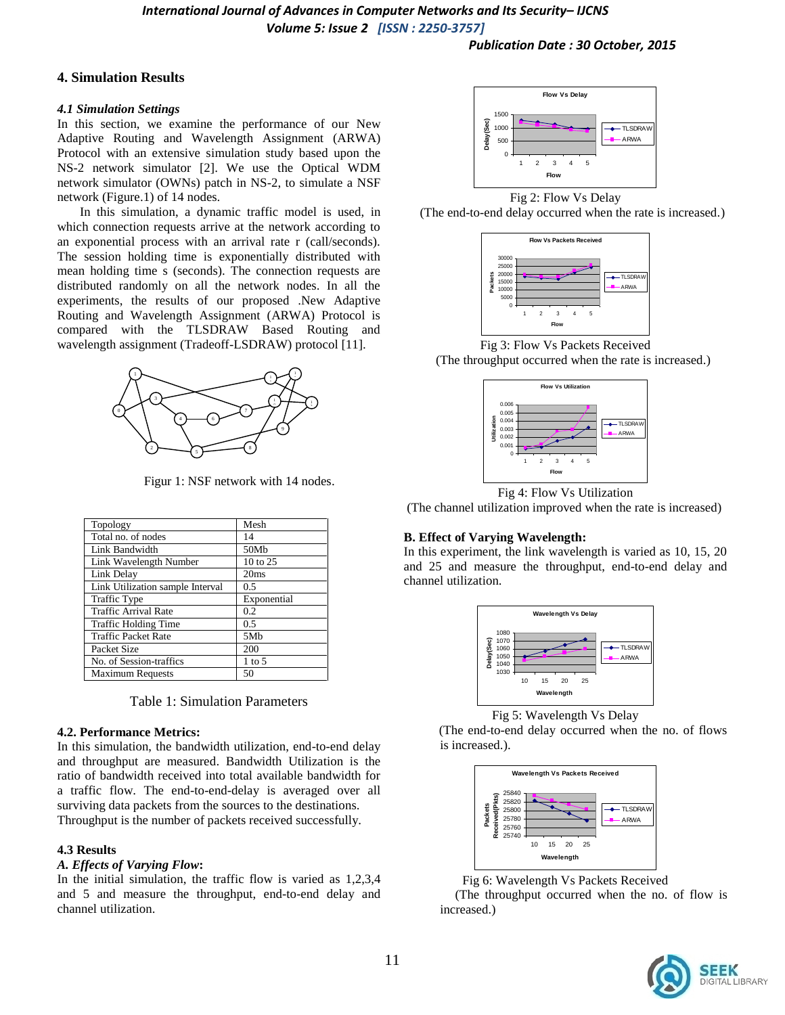### **4. Simulation Results**

### *4.1 Simulation Settings*

In this section, we examine the performance of our New Adaptive Routing and Wavelength Assignment (ARWA) Protocol with an extensive simulation study based upon the NS-2 network simulator [2]. We use the Optical WDM network simulator (OWNs) patch in NS-2, to simulate a NSF network (Figure.1) of 14 nodes.

 In this simulation, a dynamic traffic model is used, in which connection requests arrive at the network according to an exponential process with an arrival rate r (call/seconds). The session holding time is exponentially distributed with mean holding time s (seconds). The connection requests are distributed randomly on all the network nodes. In all the experiments, the results of our proposed .New Adaptive Routing and Wavelength Assignment (ARWA) Protocol is compared with the TLSDRAW Based Routing and wavelength assignment (Tradeoff-LSDRAW) protocol [11].



Figur 1: NSF network with 14 nodes.

| Topology                         | Mesh            |
|----------------------------------|-----------------|
| Total no. of nodes               | 14              |
| Link Bandwidth                   | 50Mb            |
| Link Wavelength Number           | 10 to 25        |
| Link Delay                       | 20ms            |
| Link Utilization sample Interval | 0.5             |
| <b>Traffic Type</b>              | Exponential     |
| <b>Traffic Arrival Rate</b>      | 0.2             |
| Traffic Holding Time             | 0.5             |
| <b>Traffic Packet Rate</b>       | 5M <sub>b</sub> |
| Packet Size                      | 200             |
| No. of Session-traffics          | $1$ to 5        |
| <b>Maximum Requests</b>          | 50              |

Table 1: Simulation Parameters

### **4.2. Performance Metrics:**

In this simulation, the bandwidth utilization, end-to-end delay and throughput are measured. Bandwidth Utilization is the ratio of bandwidth received into total available bandwidth for a traffic flow. The end-to-end-delay is averaged over all surviving data packets from the sources to the destinations. Throughput is the number of packets received successfully.

# **4.3 Results**

# *A. Effects of Varying Flow***:**

In the initial simulation, the traffic flow is varied as 1,2,3,4 and 5 and measure the throughput, end-to-end delay and channel utilization.



Fig 2: Flow Vs Delay





Fig 3: Flow Vs Packets Received (The throughput occurred when the rate is increased.)



Fig 4: Flow Vs Utilization

(The channel utilization improved when the rate is increased)

# **B. Effect of Varying Wavelength:**

In this experiment, the link wavelength is varied as 10, 15, 20 and 25 and measure the throughput, end-to-end delay and channel utilization.



Fig 5: Wavelength Vs Delay

 (The end-to-end delay occurred when the no. of flows is increased.).



Fig 6: Wavelength Vs Packets Received

 (The throughput occurred when the no. of flow is increased.)